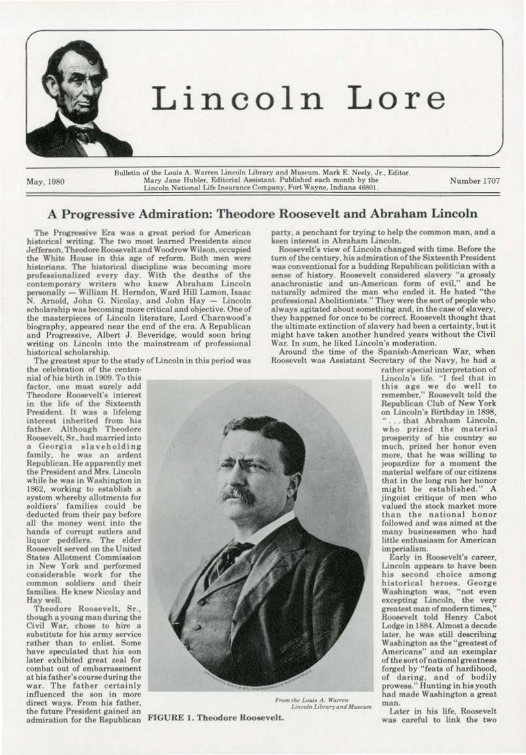

# Lincoln Lore

May, 1980

Bulletin of the Louis A. Warren Lincoln Library and Museum. Mark E. Neely, Jr., Editor. Mary Jane Hubler, Editorial Assistant. Published each month by the Lincoln National Life Insurance Company, Fort Wayne, Indiana 46801.

Number 1707

# A Progressive Admiration: Theodore Roosevelt and Abraham Lincoln

The Progressive Era was a great period for American<br>historical writing. The two most learned Presidents since Jefferson, Theodore Roosevelt and Woodrow Wilson, occupied the White House in this age of reform. Both men were historians. The historical discipline was becoming more professionalized every day. With the deaths of the<br>contemporary writers who knew Abraham Lincoln<br>personally — William H. Herndon, Ward Hill Lamon, Isaac<br>N. Arnold, John G. Nicolay, and John Hay — Lincoln scholarship was becoming more critical and objective. One of the masterpieces of Lincoln literature, Lord Charnwood's biography, appeared near the end of the era. A Republican and Progressive, Albert J. Beveridge, would soon bring writing on Lincoln into the mainstream of professional historical scholarship.

The greatest spur to the study of Lincoln in this period was

the celebration of the centennial of his birth in 1909. To this factor, one must surely add Theodore Roosevelt's interest in the life of the Sixteenth President. It was a lifelong interest inherited from his father. Although Theodore Roosevelt, Sr., had married into a Georgia slaveholding family, he was an ardent Republican. He apparently met<br>the President and Mrs. Lincoln while he was in Washington in 1862, working to establish a system whereby allotments for soldiers' families could be deducted from their pay before all the money went into the hands of corrupt sutlers and liquor peddlers. The elder Roosevelt served on the United **States Allotment Commission** in New York and performed considerable work for the common soldiers and their families. He knew Nicolay and Hay well.

Theodore Roosevelt, Sr., though a young man during the Civil War, chose to hire a substitute for his army service rather than to enlist. Some have speculated that his son later exhibited great zeal for combat out of embarrassment at his father's course during the war. The father certainly influenced the son in more direct ways. From his father, the future President gained an admiration for the Republican FIGURE 1. Theodore Roosevelt.

party, a penchant for trying to help the common man, and a keen interest in Abraham Lincoln.

Roosevelt's view of Lincoln changed with time. Before the turn of the century, his admiration of the Sixteenth President was conventional for a budding Republican politician with a sense of history. Roosevelt considered slavery "a grossly anachronistic and un-American form of evil," and he naturally admired the man who ended it. He hated "the professional Abolitionists." They were the sort of people who always agitated about something and, in the case of slavery, they happened for once to be correct. Roosevelt thought that the ultimate extinction of slavery had been a certainty, but it might have taken another hundred years without the Civil War. In sum, he liked Lincoln's moderation.

Around the time of the Spanish-American War, when Roosevelt was Assistant Secretary of the Navy, he had a



Lincoln Library and Museum

rather special interpretation of Lincoln's life. "I feel that in<br>this age we do well to<br>remember," Roosevelt told the Republican Club of New York on Lincoln's Birthday in 1898, ... that Abraham Lincoln, who prized the material<br>prosperity of his country so<br>much, prized her honor even more, that he was willing to jeopardize for a moment the material welfare of our citizens that in the long run her honor might be established." A jingoist critique of men who valued the stock market more than the national honor followed and was aimed at the many businessmen who had little enthusiasm for American imperialism.

Early in Roosevelt's career, Lincoln appears to have been his second choice among<br>historical heroes. George Washington was, "not even excepting Lincoln, the very greatest man of modern times, Roosevelt told Henry Cabot Lodge in 1884. Almost a decade later, he was still describing Washington as the "greatest of Americans" and an exemplar of the sort of national greatness forged by "feats of hardihood, of daring, and of bodily prowess." Hunting in his youth had made Washington a great man.

Later in his life, Roosevelt was careful to link the two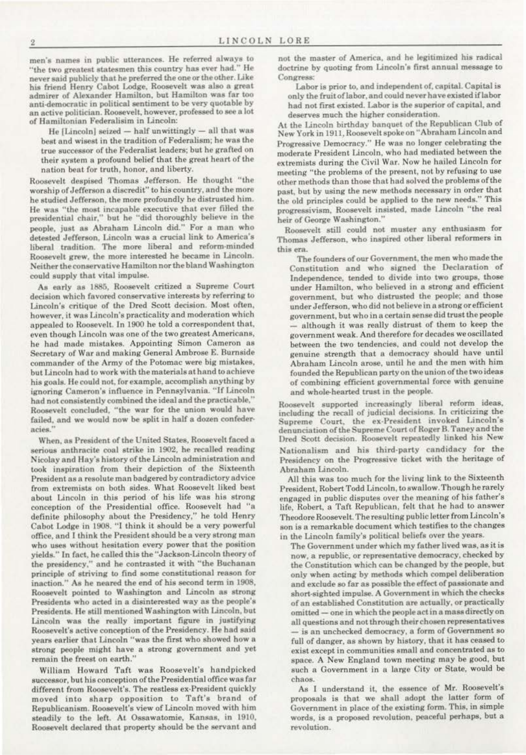men's names in public utterances. He referred always to "the two greatest statesmen this country has ever had." He never said publicly that he preferred the one or the other. Like his friend Henry Cabot Lodge, Roosevelt was also a great admirer of Alexander Hamilton, but Hamilton was far too anti-democratic in political sentiment to be very quotable by an active politician. Roosevelt, however, professed to see a lot of Hamiltonian Federalisim in Lincoln:

He [Lincoln] seized - half unwittingly - all that was best and wisest in the tradition of Federalism; he was the true successor of the Federalist leaders; but he grafted on their system a profound belief that the great heart of the nation beat for truth, honor, and liberty.

Roosevelt despised Thomas Jefferson. He thought "the worship of Jefferson a discredit" to his country, and the more he studied Jefferson, the more profoundly he distrusted him. He was "the most incapable executive that ever filled the presidential chair," but he "did thoroughly believe in the people, just as Abraham Lincoln did." For a man who detested Jefferson, Lincoln was a crucial link to America's liberal tradition. The more liberal and reform-minded Roosevelt grew, the more interested he became in Lincoln. Neither the conservative Hamilton nor the bland Washington could supply that vital impulse.

As early as 1885, Roosevelt critized a Supreme Court decision which favored conservative interests by referring to Lincoln's critique of the Dred Scott decision. Most often, however, it was Lincoln's practicality and moderation which appealed to Roosevelt. In 1900 he told a correspondent that, even though Lincoln was one of the two greatest Americans, he had made mistakes. Appointing Simon Cameron as Secretary of War and making General Ambrose E. Burnside commander of the Army of the Potomac were big mistakes, but Lincoln had to work with the materials at hand to achieve his goals. He could not, for example, accomplish anything by ignoring Cameron's influence in Pennsylvania. "If Lincoln had not consistently combined the ideal and the practicable," Roosevelt concluded, "the war for the union would have failed, and we would now be split in half a dozen confederacies.'

When, as President of the United States, Roosevelt faced a serious anthracite coal strike in 1902, he recalled reading Nicolay and Hay's history of the Lincoln administration and took inspiration from their depiction of the Sixteenth President as a resolute man badgered by contradictory advice from extremists on both sides. What Roosevelt liked best about Lincoln in this period of his life was his strong conception of the Presidential office. Roosevelt had "a definite philosophy about the Presidency," he told Henry Cabot Lodge in 1908. "I think it should be a very powerful office, and I think the President should be a very strong man who uses without hesitation every power that the position yields." In fact, he called this the "Jackson-Lincoln theory of the presidency," and he contrasted it with "the Buchanan principle of striving to find some constitutional reason for inaction." As he neared the end of his second term in 1908, Roosevelt pointed to Washington and Lincoln as strong Presidents who acted in a disinterested way as the people's Presidents. He still mentioned Washington with Lincoln, but Lincoln was the really important figure in justifying Roosevelt's active conception of the Presidency. He had said years earlier that Lincoln "was the first who showed how a strong people might have a strong government and yet remain the freest on earth."

William Howard Taft was Roosevelt's handpicked successor, but his conception of the Presidential office was far different from Roosevelt's. The restless ex-President quickly moved into sharp opposition to Taft's brand of Republicanism. Roosevelt's view of Lincoln moved with him steadily to the left. At Ossawatomie, Kansas, in 1910, Roosevelt declared that property should be the servant and

not the master of America, and he legitimized his radical doctrine by quoting from Lincoln's first annual message to Congress:

Labor is prior to, and independent of, capital. Capital is only the fruit of labor, and could never have existed if labor had not first existed. Labor is the superior of capital, and deserves much the higher consideration.

At the Lincoln birthday banquet of the Republican Club of New York in 1911, Roosevelt spoke on "Abraham Lincoln and Progressive Democracy." He was no longer celebrating the moderate President Lincoln, who had mediated between the extremists during the Civil War. Now he hailed Lincoln for meeting "the problems of the present, not by refusing to use other methods than those that had solved the problems of the past, but by using the new methods necessary in order that the old principles could be applied to the new needs." This progressivism, Roosevelt insisted, made Lincoln "the real heir of George Washington."

Roosevelt still could not muster any enthusiasm for Thomas Jefferson, who inspired other liberal reformers in this era.

The founders of our Government, the men who made the Constitution and who signed the Declaration of Independence, tended to divide into two groups, those under Hamilton, who believed in a strong and efficient government, but who distrusted the people; and those under Jefferson, who did not believe in a strong or efficient government, but who in a certain sense did trust the people although it was really distrust of them to keep the government weak. And therefore for decades we oscillated between the two tendencies, and could not develop the genuine strength that a democracy should have until Abraham Lincoln arose, until he and the men with him founded the Republican party on the union of the two ideas of combining efficient governmental force with genuine and whole-hearted trust in the people.

Roosevelt supported increasingly liberal reform ideas. including the recall of judicial decisions. In criticizing the Supreme Court, the ex-President invoked Lincoln's denunciation of the Supreme Court of Roger B. Taney and the Dred Scott decision. Roosevelt repeatedly linked his New Nationalism and his third-party candidacy for the Presidency on the Progressive ticket with the heritage of Abraham Lincoln.

All this was too much for the living link to the Sixteenth President, Robert Todd Lincoln, to swallow. Though he rarely engaged in public disputes over the meaning of his father's life, Robert, a Taft Republican, felt that he had to answer Theodore Roosevelt. The resulting public letter from Lincoln's son is a remarkable document which testifies to the changes in the Lincoln family's political beliefs over the years.

The Government under which my father lived was, as it is now, a republic, or representative democracy, checked by the Constitution which can be changed by the people, but only when acting by methods which compel deliberation and exclude so far as possible the effect of passionate and short-sighted impulse. A Government in which the checks of an established Constitution are actually, or practically omitted - one in which the people act in a mass directly on all questions and not through their chosen representatives is an unchecked democracy, a form of Government so full of danger, as shown by history, that it has ceased to exist except in communities small and concentrated as to space. A New England town meeting may be good, but such a Government in a large City or State, would be chaos.

As I understand it, the essence of Mr. Roosevelt's proposals is that we shall adopt the latter form of Government in place of the existing form. This, in simple words, is a proposed revolution, peaceful perhaps, but a revolution.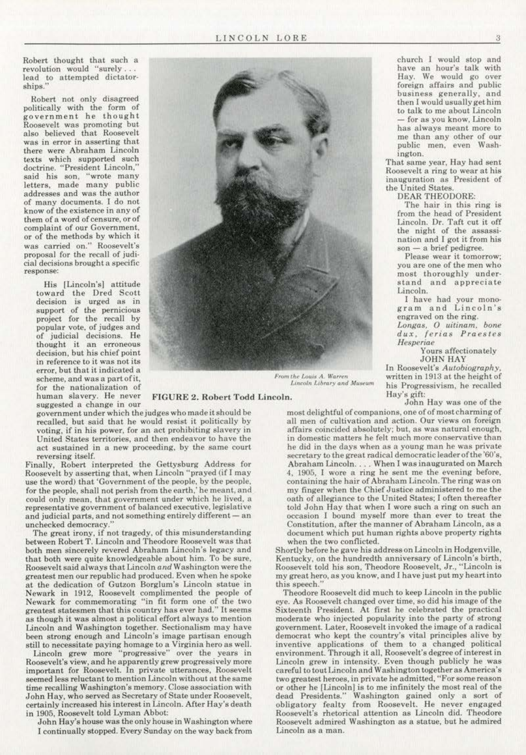Robert thought that such a revolution would "surely... lead to attempted dictator· ships."

Robert not only disagreed politically with the form of government he thought Roosevelt was promoting but also believed that Roosevelt was in error in asserting that there were Abraham Lincoln texts which supported such doctrine. "President Lincoln," said his son, "wrote many letters, made many public addresses and was the author of many documents. l do not know of the existence in any of them of a word of censure, or of complaint of our Government, or of the methods by which it was carried on." Roosevelt's proposal for the recall of judicial decisions brought a specific response:

> His ILincoln'sl attitude toward the Dred Scott decision is urged as in support of the pernicious project for the recall by popular vote, of judges and of judicial decisions. He thought it an erroneous decision. but his chief point in reference to it was not its error, but that it indicated a scheme. and was a part of it., for the nationalization *or*  human slavery. He never suggested a change in our



*Prom the Louis A. Warren* **written in 1913 at the height of** *Lincoln Library and Museum* **his Progressivism he recalled** 

government under which the judges who made it should be recalled, but said that he would resist it politically by voting. if in his power. for an act prohibiting slavery in United States territories, and then endeavor to have the act sustained in a new proceeding, by the same court reversing itself.

Finally, Robert interpreted the Gettysburg Address for Roosevelt by asserting that, when Lincoln "prayed (if I may use the word) that 'Government of the people, by the people, for the people. shall not perish from the earth.' he meant. and could only mean, that government under which he lived, a representative government of balanced executive, legislative and judicial parts, and not something entirely different  $-$  an unchecked democracy.''

The great irony, if not tragedy, of this misunderstanding between Robert T. Lincoln and Theodore Roosevelt was that both men sincerely revered Abraham Lincoln's legacy and that both were quite knowledgeable about him. To be sure, Roosevelt said always that Lincoln *and* Washington were the greatest men our republic had produced. Even when he spoke at the dedication of Gutzon Borglum's Lincoln statue in Newark in 1912. Roosevelt complimented the people of Newark for commemorating "in fit form one of the two greatest statesmen that this country has ever had." It seems as though it was almost a political effort always to mention Lincoln and Washington together. Sectionalism may have been strong enough and Lincoln's image partisan enough still to necessitate paying homage to a Virginia hero as welL

Lincoln grew more "progressive" over the years in Roosevelt's view, and he apparently grew progressively more important for Roosevelt. In private utterances. Roosevelt seemed less reluctant to mention Lincoln without at the same time recalling Washington's memory. Close association with John Hay, who served as Secretary of State under Roosevelt, certainly increased his interest in Lincoln. Arter Hay's death in 1905, Roosevelt told Lyman Abbot:

John Hay's house was the only house in Washington whero I continually stopped. Every Sunday on the way back from

FIGURE 2. Robert Todd Lincoln. Hay's gift: John Hay was one of the

his Progressivism, he recalled

most delightful of companions, one of of mostcharmingof all men of cultivation and action. Our views on foreign affairs coincided absolutely: but, as was natural enough, in domestic matters he felt much more conservative than he did in the days when as a young man he was private secretary to the great radical democratic leader of the '60's, Abraham Lincoln . ... When 1 was inaugurated on March 4. l905. I wore a ring he sent me the evening before, containing the hair of Abraham Lincoln. The ring was on my finger when the Chief Justice administered to me the oath of allegiance to the United States; I often thereafter told John Hay that when I wore such a ring on such an occasion 1 bound myself more than ever to treat the Constitution. after the manner of Abraham Lincoln, as a document which put human rights above property rights when the two conflicted.

Shortly before he gave his address on Lincoln in Hodgenville, Kentucky, on the hundredth anniversary of Lincoln's birth, Roosevelt told his son, Theodore Roosevelt, Jr., "Lincoln is my great hero, as you know. and I have just put my heart into this speech."

Theodore Roosevelt did much to keep Lincoln in the public eye. As Roosevelt changed over time, so did his image of the Sixteenth President. At first he celebrated the practical moderate who injected popularity into the party of strong government. Later, Roosevelt invoked the image of a radical democrat who kept the country's vital principles alive by inventive applications of them to a changed political environment. Through it all, Roosevelt's degree of interest in Lincoln grew in intensity. Even though publicly he was careful to tout Lincoln and Washington together as America's two greatest heroes, in private he admitted, "For some reason or other be (Lincoln] is to me infinitely lhe most real of the dead Presidents." Washington gained only a sort of obtigatory fealty from Roosevelt. He never engaged Roosevelt's rhetorical attention as Lincoln did. Theodore Roosevelt admired Washington as a statue, but he admired Lincoln as a man.

church I would stop and have an hour's talk with Hay. We would go over foreign affairs and public business generally, and then I would usually get him to talk to me about Lincoln - for as you know. Lincoln has always meant more to me than any other of our public men, even Wash· ington.

That same year, Hay had sent Roosevelt a ring *to* wear at his inauguration as President of the United States.

DEAR THEODORE:

The hair in this ring is from the head of President Lincoln. Dr. Taft cut it off the night of the assassination and I got it from his son - a brief pedigree.

Please wear it tomorrow; you are one of the men who most thoroughly under· stand and appreciate Lincoln.

1 have had your mono· gram and Lincoln's engraved on the ring.

*Longas. 0 uitinam. bone dux . ferias Praestes Hesperiae* 

Yours affectionately JOHN HAY In Roosevelt's *Autobiography.*